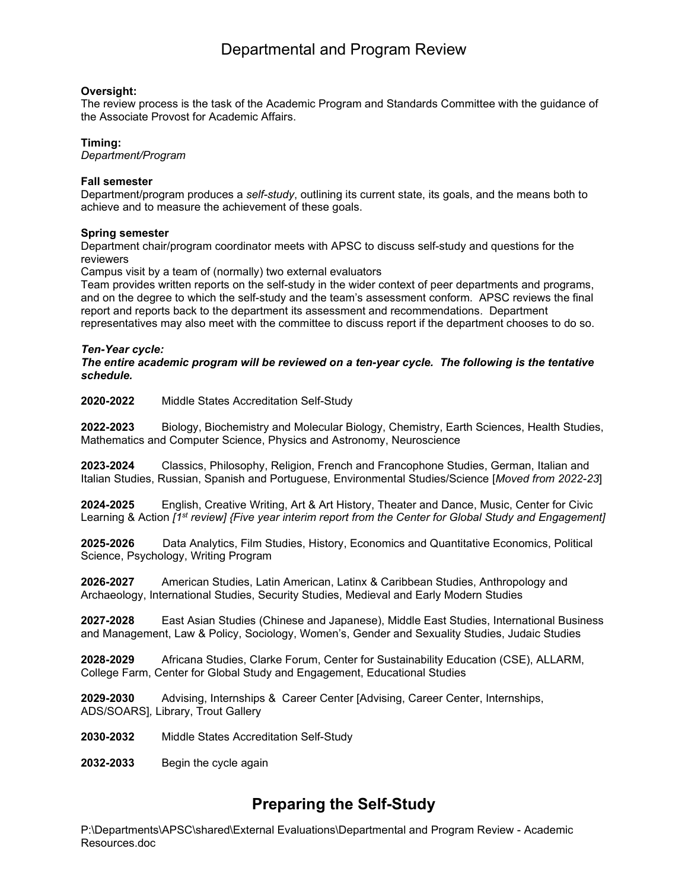## Departmental and Program Review

#### **Oversight:**

The review process is the task of the Academic Program and Standards Committee with the guidance of the Associate Provost for Academic Affairs.

#### **Timing:**

*Department/Program*

#### **Fall semester**

Department/program produces a *self-study*, outlining its current state, its goals, and the means both to achieve and to measure the achievement of these goals.

#### **Spring semester**

Department chair/program coordinator meets with APSC to discuss self-study and questions for the reviewers

Campus visit by a team of (normally) two external evaluators

Team provides written reports on the self-study in the wider context of peer departments and programs, and on the degree to which the self-study and the team's assessment conform. APSC reviews the final report and reports back to the department its assessment and recommendations. Department representatives may also meet with the committee to discuss report if the department chooses to do so.

#### *Ten-Year cycle:*

*The entire academic program will be reviewed on a ten-year cycle. The following is the tentative schedule.*

**2020-2022** Middle States Accreditation Self-Study

**2022-2023** Biology, Biochemistry and Molecular Biology, Chemistry, Earth Sciences, Health Studies, Mathematics and Computer Science, Physics and Astronomy, Neuroscience

**2023-2024** Classics, Philosophy, Religion, French and Francophone Studies, German, Italian and Italian Studies, Russian, Spanish and Portuguese, Environmental Studies/Science [*Moved from 2022-23*]

**2024-2025** English, Creative Writing, Art & Art History, Theater and Dance, Music, Center for Civic Learning & Action *[1st review] {Five year interim report from the Center for Global Study and Engagement]*

**2025-2026** Data Analytics, Film Studies, History, Economics and Quantitative Economics, Political Science, Psychology, Writing Program

**2026-2027** American Studies, Latin American, Latinx & Caribbean Studies, Anthropology and Archaeology, International Studies, Security Studies, Medieval and Early Modern Studies

**2027-2028** East Asian Studies (Chinese and Japanese), Middle East Studies, International Business and Management, Law & Policy, Sociology, Women's, Gender and Sexuality Studies, Judaic Studies

**2028-2029** Africana Studies, Clarke Forum, Center for Sustainability Education (CSE), ALLARM, College Farm, Center for Global Study and Engagement, Educational Studies

**2029-2030** Advising, Internships & Career Center [Advising, Career Center, Internships, ADS/SOARS]*,* Library, Trout Gallery

**2030-2032** Middle States Accreditation Self-Study

**2032-2033** Begin the cycle again

## **Preparing the Self-Study**

P:\Departments\APSC\shared\External Evaluations\Departmental and Program Review - Academic Resources.doc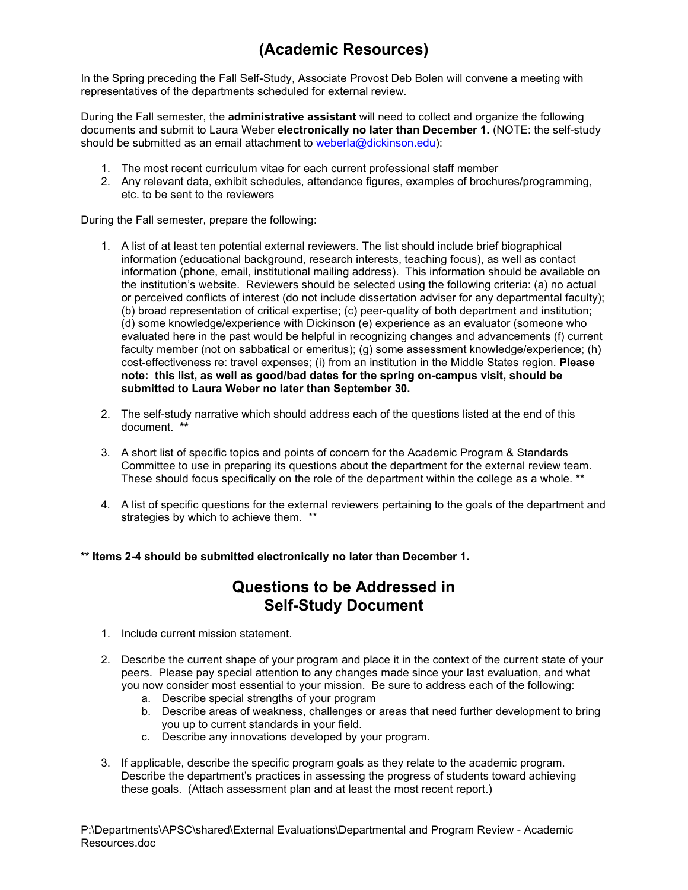# **(Academic Resources)**

In the Spring preceding the Fall Self-Study, Associate Provost Deb Bolen will convene a meeting with representatives of the departments scheduled for external review.

During the Fall semester, the **administrative assistant** will need to collect and organize the following documents and submit to Laura Weber **electronically no later than December 1.** (NOTE: the self-study should be submitted as an email attachment to [weberla@dickinson.edu\)](mailto:weberla@dickinson.edu):

- 1. The most recent curriculum vitae for each current professional staff member
- 2. Any relevant data, exhibit schedules, attendance figures, examples of brochures/programming, etc. to be sent to the reviewers

During the Fall semester, prepare the following:

- 1. A list of at least ten potential external reviewers. The list should include brief biographical information (educational background, research interests, teaching focus), as well as contact information (phone, email, institutional mailing address). This information should be available on the institution's website. Reviewers should be selected using the following criteria: (a) no actual or perceived conflicts of interest (do not include dissertation adviser for any departmental faculty); (b) broad representation of critical expertise; (c) peer-quality of both department and institution; (d) some knowledge/experience with Dickinson (e) experience as an evaluator (someone who evaluated here in the past would be helpful in recognizing changes and advancements (f) current faculty member (not on sabbatical or emeritus); (g) some assessment knowledge/experience; (h) cost-effectiveness re: travel expenses; (i) from an institution in the Middle States region. **Please note: this list, as well as good/bad dates for the spring on-campus visit, should be submitted to Laura Weber no later than September 30.**
- 2. The self-study narrative which should address each of the questions listed at the end of this document. **\*\***
- 3. A short list of specific topics and points of concern for the Academic Program & Standards Committee to use in preparing its questions about the department for the external review team. These should focus specifically on the role of the department within the college as a whole. \*\*
- 4. A list of specific questions for the external reviewers pertaining to the goals of the department and strategies by which to achieve them. \*\*

#### **\*\* Items 2-4 should be submitted electronically no later than December 1.**

### **Questions to be Addressed in Self-Study Document**

- 1. Include current mission statement.
- 2. Describe the current shape of your program and place it in the context of the current state of your peers. Please pay special attention to any changes made since your last evaluation, and what you now consider most essential to your mission. Be sure to address each of the following:
	- a. Describe special strengths of your program
	- b. Describe areas of weakness, challenges or areas that need further development to bring you up to current standards in your field.
	- c. Describe any innovations developed by your program.
- 3. If applicable, describe the specific program goals as they relate to the academic program. Describe the department's practices in assessing the progress of students toward achieving these goals. (Attach assessment plan and at least the most recent report.)